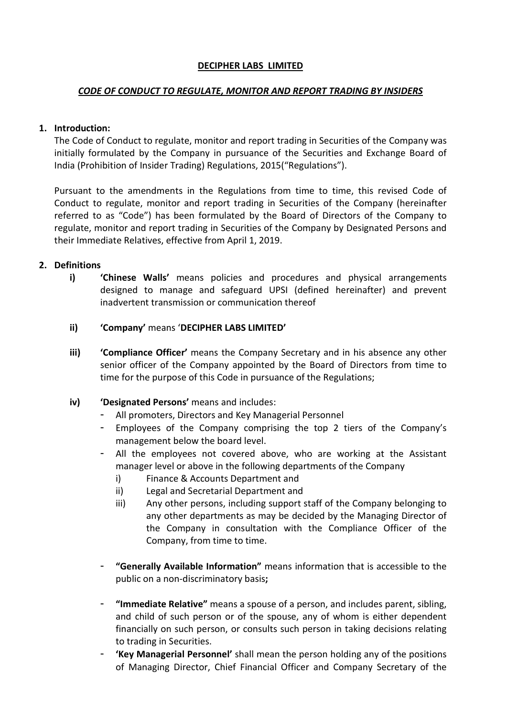### DECIPHER LABS LIMITED

### CODE OF CONDUCT TO REGULATE, MONITOR AND REPORT TRADING BY INSIDERS

## 1. Introduction:

The Code of Conduct to regulate, monitor and report trading in Securities of the Company was initially formulated by the Company in pursuance of the Securities and Exchange Board of India (Prohibition of Insider Trading) Regulations, 2015("Regulations").

Pursuant to the amendments in the Regulations from time to time, this revised Code of Conduct to regulate, monitor and report trading in Securities of the Company (hereinafter referred to as "Code") has been formulated by the Board of Directors of the Company to regulate, monitor and report trading in Securities of the Company by Designated Persons and their Immediate Relatives, effective from April 1, 2019.

## 2. Definitions

- i) **Chinese Walls'** means policies and procedures and physical arrangements designed to manage and safeguard UPSI (defined hereinafter) and prevent inadvertent transmission or communication thereof
- ii) 'Company' means 'DECIPHER LABS LIMITED'
- iii) **Compliance Officer'** means the Company Secretary and in his absence any other senior officer of the Company appointed by the Board of Directors from time to time for the purpose of this Code in pursuance of the Regulations;
- iv) 'Designated Persons' means and includes:
	- All promoters, Directors and Key Managerial Personnel
	- Employees of the Company comprising the top 2 tiers of the Company's management below the board level.
	- All the employees not covered above, who are working at the Assistant manager level or above in the following departments of the Company
		- i) Finance & Accounts Department and
		- ii) Legal and Secretarial Department and
		- iii) Any other persons, including support staff of the Company belonging to any other departments as may be decided by the Managing Director of the Company in consultation with the Compliance Officer of the Company, from time to time.
	- "Generally Available Information" means information that is accessible to the public on a non-discriminatory basis;
	- "Immediate Relative" means a spouse of a person, and includes parent, sibling, and child of such person or of the spouse, any of whom is either dependent financially on such person, or consults such person in taking decisions relating to trading in Securities.
	- 'Key Managerial Personnel' shall mean the person holding any of the positions of Managing Director, Chief Financial Officer and Company Secretary of the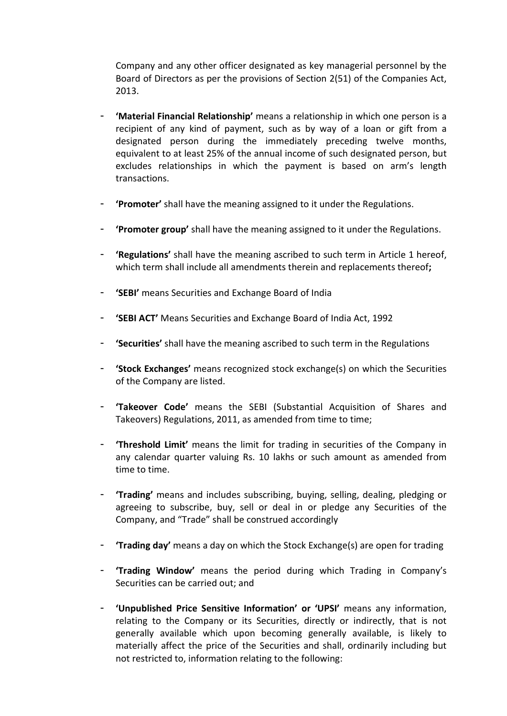Company and any other officer designated as key managerial personnel by the Board of Directors as per the provisions of Section 2(51) of the Companies Act, 2013.

- **'Material Financial Relationship'** means a relationship in which one person is a recipient of any kind of payment, such as by way of a loan or gift from a designated person during the immediately preceding twelve months, equivalent to at least 25% of the annual income of such designated person, but excludes relationships in which the payment is based on arm's length transactions.
- 'Promoter' shall have the meaning assigned to it under the Regulations.
- 'Promoter group' shall have the meaning assigned to it under the Regulations.
- 'Regulations' shall have the meaning ascribed to such term in Article 1 hereof, which term shall include all amendments therein and replacements thereof:
- 'SEBI' means Securities and Exchange Board of India
- 'SEBI ACT' Means Securities and Exchange Board of India Act, 1992
- 'Securities' shall have the meaning ascribed to such term in the Regulations
- 'Stock Exchanges' means recognized stock exchange(s) on which the Securities of the Company are listed.
- 'Takeover Code' means the SEBI (Substantial Acquisition of Shares and Takeovers) Regulations, 2011, as amended from time to time;
- 'Threshold Limit' means the limit for trading in securities of the Company in any calendar quarter valuing Rs. 10 lakhs or such amount as amended from time to time.
- 'Trading' means and includes subscribing, buying, selling, dealing, pledging or agreeing to subscribe, buy, sell or deal in or pledge any Securities of the Company, and "Trade" shall be construed accordingly
- 'Trading day' means a day on which the Stock Exchange(s) are open for trading
- 'Trading Window' means the period during which Trading in Company's Securities can be carried out; and
- 'Unpublished Price Sensitive Information' or 'UPSI' means any information, relating to the Company or its Securities, directly or indirectly, that is not generally available which upon becoming generally available, is likely to materially affect the price of the Securities and shall, ordinarily including but not restricted to, information relating to the following: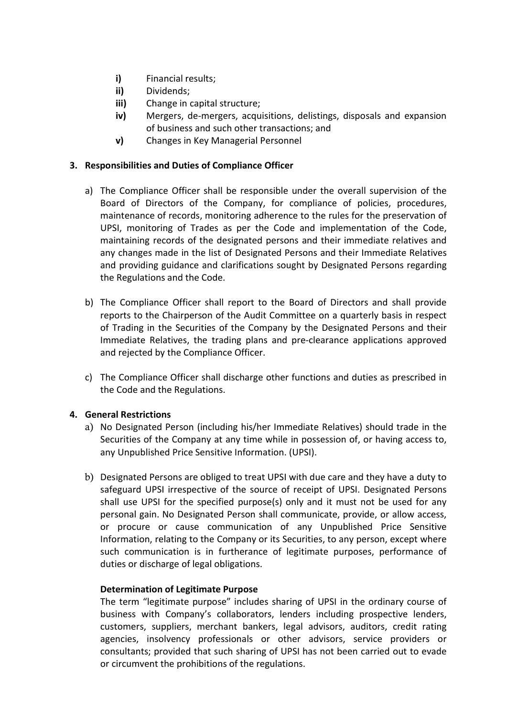- i) Financial results;
- ii) Dividends;
- iii) Change in capital structure;
- iv) Mergers, de-mergers, acquisitions, delistings, disposals and expansion of business and such other transactions; and
- v) Changes in Key Managerial Personnel

## 3. Responsibilities and Duties of Compliance Officer

- a) The Compliance Officer shall be responsible under the overall supervision of the Board of Directors of the Company, for compliance of policies, procedures, maintenance of records, monitoring adherence to the rules for the preservation of UPSI, monitoring of Trades as per the Code and implementation of the Code, maintaining records of the designated persons and their immediate relatives and any changes made in the list of Designated Persons and their Immediate Relatives and providing guidance and clarifications sought by Designated Persons regarding the Regulations and the Code.
- b) The Compliance Officer shall report to the Board of Directors and shall provide reports to the Chairperson of the Audit Committee on a quarterly basis in respect of Trading in the Securities of the Company by the Designated Persons and their Immediate Relatives, the trading plans and pre-clearance applications approved and rejected by the Compliance Officer.
- c) The Compliance Officer shall discharge other functions and duties as prescribed in the Code and the Regulations.

## 4. General Restrictions

- a) No Designated Person (including his/her Immediate Relatives) should trade in the Securities of the Company at any time while in possession of, or having access to, any Unpublished Price Sensitive Information. (UPSI).
- b) Designated Persons are obliged to treat UPSI with due care and they have a duty to safeguard UPSI irrespective of the source of receipt of UPSI. Designated Persons shall use UPSI for the specified purpose(s) only and it must not be used for any personal gain. No Designated Person shall communicate, provide, or allow access, or procure or cause communication of any Unpublished Price Sensitive Information, relating to the Company or its Securities, to any person, except where such communication is in furtherance of legitimate purposes, performance of duties or discharge of legal obligations.

#### Determination of Legitimate Purpose

The term "legitimate purpose" includes sharing of UPSI in the ordinary course of business with Company's collaborators, lenders including prospective lenders, customers, suppliers, merchant bankers, legal advisors, auditors, credit rating agencies, insolvency professionals or other advisors, service providers or consultants; provided that such sharing of UPSI has not been carried out to evade or circumvent the prohibitions of the regulations.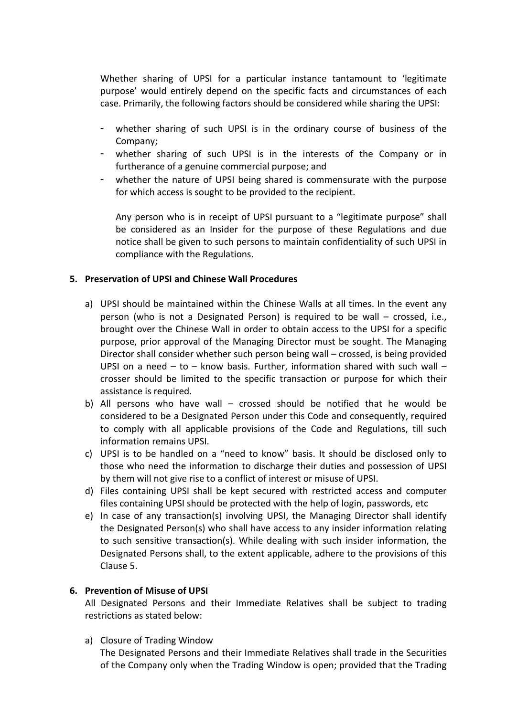Whether sharing of UPSI for a particular instance tantamount to 'legitimate purpose' would entirely depend on the specific facts and circumstances of each case. Primarily, the following factors should be considered while sharing the UPSI:

- whether sharing of such UPSI is in the ordinary course of business of the Company;
- whether sharing of such UPSI is in the interests of the Company or in furtherance of a genuine commercial purpose; and
- whether the nature of UPSI being shared is commensurate with the purpose for which access is sought to be provided to the recipient.

Any person who is in receipt of UPSI pursuant to a "legitimate purpose" shall be considered as an Insider for the purpose of these Regulations and due notice shall be given to such persons to maintain confidentiality of such UPSI in compliance with the Regulations.

## 5. Preservation of UPSI and Chinese Wall Procedures

- a) UPSI should be maintained within the Chinese Walls at all times. In the event any person (who is not a Designated Person) is required to be wall – crossed, i.e., brought over the Chinese Wall in order to obtain access to the UPSI for a specific purpose, prior approval of the Managing Director must be sought. The Managing Director shall consider whether such person being wall – crossed, is being provided UPSI on a need – to – know basis. Further, information shared with such wall – crosser should be limited to the specific transaction or purpose for which their assistance is required.
- b) All persons who have wall crossed should be notified that he would be considered to be a Designated Person under this Code and consequently, required to comply with all applicable provisions of the Code and Regulations, till such information remains UPSI.
- c) UPSI is to be handled on a "need to know" basis. It should be disclosed only to those who need the information to discharge their duties and possession of UPSI by them will not give rise to a conflict of interest or misuse of UPSI.
- d) Files containing UPSI shall be kept secured with restricted access and computer files containing UPSI should be protected with the help of login, passwords, etc
- e) In case of any transaction(s) involving UPSI, the Managing Director shall identify the Designated Person(s) who shall have access to any insider information relating to such sensitive transaction(s). While dealing with such insider information, the Designated Persons shall, to the extent applicable, adhere to the provisions of this Clause 5.

#### 6. Prevention of Misuse of UPSI

All Designated Persons and their Immediate Relatives shall be subject to trading restrictions as stated below:

a) Closure of Trading Window

The Designated Persons and their Immediate Relatives shall trade in the Securities of the Company only when the Trading Window is open; provided that the Trading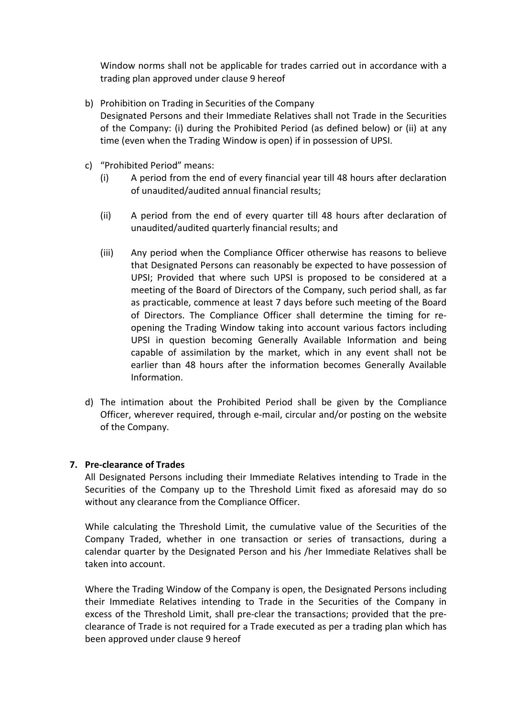Window norms shall not be applicable for trades carried out in accordance with a trading plan approved under clause 9 hereof

- b) Prohibition on Trading in Securities of the Company Designated Persons and their Immediate Relatives shall not Trade in the Securities of the Company: (i) during the Prohibited Period (as defined below) or (ii) at any time (even when the Trading Window is open) if in possession of UPSI.
- c) "Prohibited Period" means:
	- (i) A period from the end of every financial year till 48 hours after declaration of unaudited/audited annual financial results;
	- (ii) A period from the end of every quarter till 48 hours after declaration of unaudited/audited quarterly financial results; and
	- (iii) Any period when the Compliance Officer otherwise has reasons to believe that Designated Persons can reasonably be expected to have possession of UPSI; Provided that where such UPSI is proposed to be considered at a meeting of the Board of Directors of the Company, such period shall, as far as practicable, commence at least 7 days before such meeting of the Board of Directors. The Compliance Officer shall determine the timing for reopening the Trading Window taking into account various factors including UPSI in question becoming Generally Available Information and being capable of assimilation by the market, which in any event shall not be earlier than 48 hours after the information becomes Generally Available Information.
- d) The intimation about the Prohibited Period shall be given by the Compliance Officer, wherever required, through e-mail, circular and/or posting on the website of the Company.

#### 7. Pre-clearance of Trades

All Designated Persons including their Immediate Relatives intending to Trade in the Securities of the Company up to the Threshold Limit fixed as aforesaid may do so without any clearance from the Compliance Officer.

While calculating the Threshold Limit, the cumulative value of the Securities of the Company Traded, whether in one transaction or series of transactions, during a calendar quarter by the Designated Person and his /her Immediate Relatives shall be taken into account.

Where the Trading Window of the Company is open, the Designated Persons including their Immediate Relatives intending to Trade in the Securities of the Company in excess of the Threshold Limit, shall pre-clear the transactions; provided that the preclearance of Trade is not required for a Trade executed as per a trading plan which has been approved under clause 9 hereof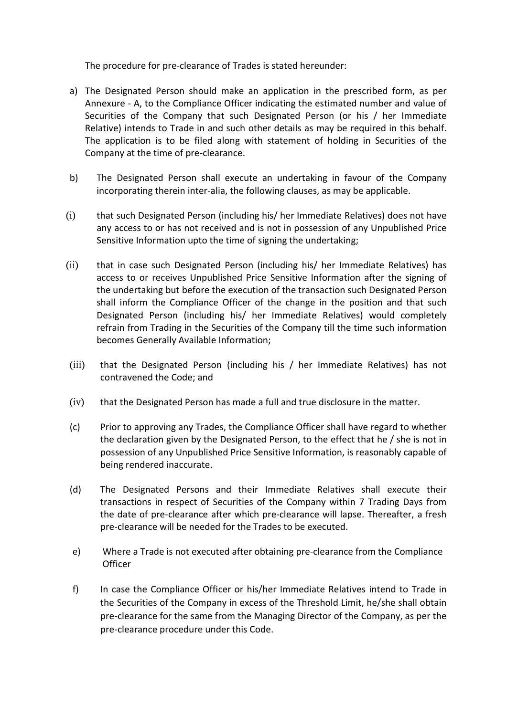The procedure for pre-clearance of Trades is stated hereunder:

- a) The Designated Person should make an application in the prescribed form, as per Annexure - A, to the Compliance Officer indicating the estimated number and value of Securities of the Company that such Designated Person (or his / her Immediate Relative) intends to Trade in and such other details as may be required in this behalf. The application is to be filed along with statement of holding in Securities of the Company at the time of pre-clearance.
- b) The Designated Person shall execute an undertaking in favour of the Company incorporating therein inter-alia, the following clauses, as may be applicable.
- (i) that such Designated Person (including his/ her Immediate Relatives) does not have any access to or has not received and is not in possession of any Unpublished Price Sensitive Information upto the time of signing the undertaking;
- (ii) that in case such Designated Person (including his/ her Immediate Relatives) has access to or receives Unpublished Price Sensitive Information after the signing of the undertaking but before the execution of the transaction such Designated Person shall inform the Compliance Officer of the change in the position and that such Designated Person (including his/ her Immediate Relatives) would completely refrain from Trading in the Securities of the Company till the time such information becomes Generally Available Information;
- (iii) that the Designated Person (including his / her Immediate Relatives) has not contravened the Code; and
- (iv) that the Designated Person has made a full and true disclosure in the matter.
- (c) Prior to approving any Trades, the Compliance Officer shall have regard to whether the declaration given by the Designated Person, to the effect that he / she is not in possession of any Unpublished Price Sensitive Information, is reasonably capable of being rendered inaccurate.
- (d) The Designated Persons and their Immediate Relatives shall execute their transactions in respect of Securities of the Company within 7 Trading Days from the date of pre-clearance after which pre-clearance will lapse. Thereafter, a fresh pre-clearance will be needed for the Trades to be executed.
- e) Where a Trade is not executed after obtaining pre-clearance from the Compliance **Officer**
- f) In case the Compliance Officer or his/her Immediate Relatives intend to Trade in the Securities of the Company in excess of the Threshold Limit, he/she shall obtain pre-clearance for the same from the Managing Director of the Company, as per the pre-clearance procedure under this Code.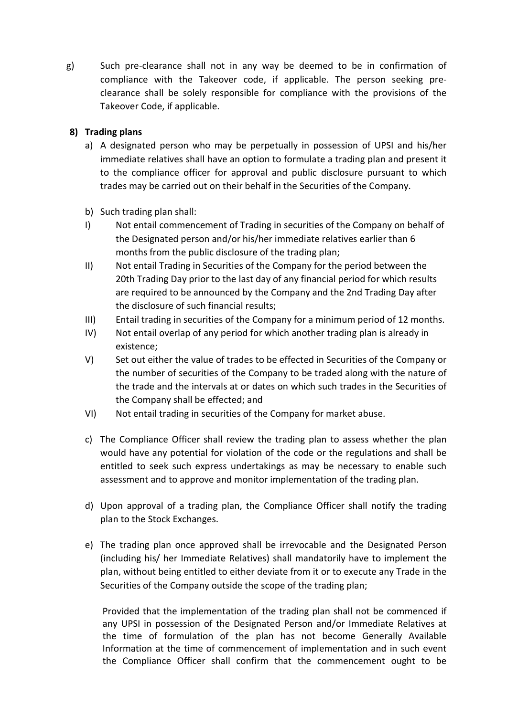g) Such pre-clearance shall not in any way be deemed to be in confirmation of compliance with the Takeover code, if applicable. The person seeking preclearance shall be solely responsible for compliance with the provisions of the Takeover Code, if applicable.

# 8) Trading plans

- a) A designated person who may be perpetually in possession of UPSI and his/her immediate relatives shall have an option to formulate a trading plan and present it to the compliance officer for approval and public disclosure pursuant to which trades may be carried out on their behalf in the Securities of the Company.
- b) Such trading plan shall:
- I) Not entail commencement of Trading in securities of the Company on behalf of the Designated person and/or his/her immediate relatives earlier than 6 months from the public disclosure of the trading plan;
- II) Not entail Trading in Securities of the Company for the period between the 20th Trading Day prior to the last day of any financial period for which results are required to be announced by the Company and the 2nd Trading Day after the disclosure of such financial results;
- III) Entail trading in securities of the Company for a minimum period of 12 months.
- IV) Not entail overlap of any period for which another trading plan is already in existence;
- V) Set out either the value of trades to be effected in Securities of the Company or the number of securities of the Company to be traded along with the nature of the trade and the intervals at or dates on which such trades in the Securities of the Company shall be effected; and
- VI) Not entail trading in securities of the Company for market abuse.
- c) The Compliance Officer shall review the trading plan to assess whether the plan would have any potential for violation of the code or the regulations and shall be entitled to seek such express undertakings as may be necessary to enable such assessment and to approve and monitor implementation of the trading plan.
- d) Upon approval of a trading plan, the Compliance Officer shall notify the trading plan to the Stock Exchanges.
- e) The trading plan once approved shall be irrevocable and the Designated Person (including his/ her Immediate Relatives) shall mandatorily have to implement the plan, without being entitled to either deviate from it or to execute any Trade in the Securities of the Company outside the scope of the trading plan;

Provided that the implementation of the trading plan shall not be commenced if any UPSI in possession of the Designated Person and/or Immediate Relatives at the time of formulation of the plan has not become Generally Available Information at the time of commencement of implementation and in such event the Compliance Officer shall confirm that the commencement ought to be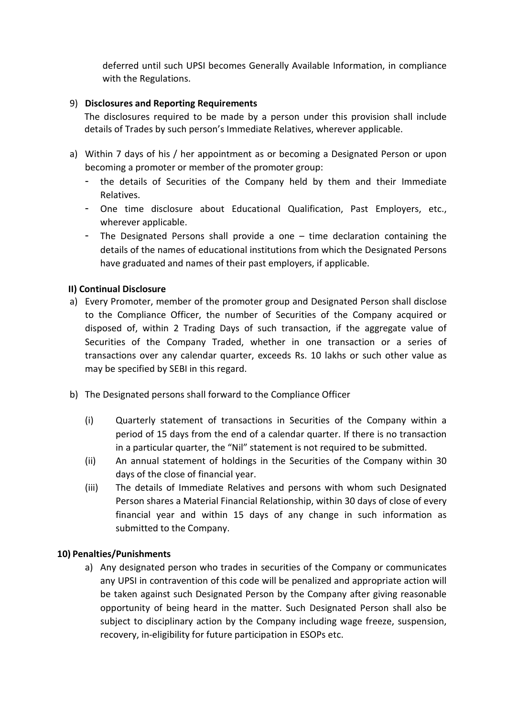deferred until such UPSI becomes Generally Available Information, in compliance with the Regulations.

## 9) Disclosures and Reporting Requirements

The disclosures required to be made by a person under this provision shall include details of Trades by such person's Immediate Relatives, wherever applicable.

- a) Within 7 days of his / her appointment as or becoming a Designated Person or upon becoming a promoter or member of the promoter group:
	- the details of Securities of the Company held by them and their Immediate Relatives.
	- One time disclosure about Educational Qualification, Past Employers, etc., wherever applicable.
	- The Designated Persons shall provide a one time declaration containing the details of the names of educational institutions from which the Designated Persons have graduated and names of their past employers, if applicable.

# II) Continual Disclosure

- a) Every Promoter, member of the promoter group and Designated Person shall disclose to the Compliance Officer, the number of Securities of the Company acquired or disposed of, within 2 Trading Days of such transaction, if the aggregate value of Securities of the Company Traded, whether in one transaction or a series of transactions over any calendar quarter, exceeds Rs. 10 lakhs or such other value as may be specified by SEBI in this regard.
- b) The Designated persons shall forward to the Compliance Officer
	- (i) Quarterly statement of transactions in Securities of the Company within a period of 15 days from the end of a calendar quarter. If there is no transaction in a particular quarter, the "Nil" statement is not required to be submitted.
	- (ii) An annual statement of holdings in the Securities of the Company within 30 days of the close of financial year.
	- (iii) The details of Immediate Relatives and persons with whom such Designated Person shares a Material Financial Relationship, within 30 days of close of every financial year and within 15 days of any change in such information as submitted to the Company.

## 10) Penalties/Punishments

a) Any designated person who trades in securities of the Company or communicates any UPSI in contravention of this code will be penalized and appropriate action will be taken against such Designated Person by the Company after giving reasonable opportunity of being heard in the matter. Such Designated Person shall also be subject to disciplinary action by the Company including wage freeze, suspension, recovery, in-eligibility for future participation in ESOPs etc.